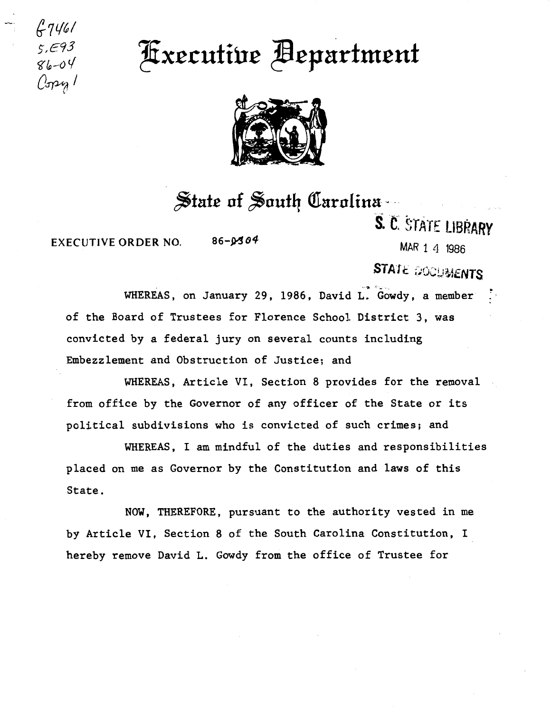$7740$ s,E93

*ft(p-0* if Z!ixc.cutiuc ~cpa:rhu.eut C~l '



## $f$ state of *South Carolina*

EXECUTIVE ORDER NO.  $86-\cancel{9304}$  MAR 1 4 1986

S. C. STATE LIBRARY

## STATE @OCUMENTS

WHEREAS, on January 29, 1986, David L. Gowdy, a member of the Board of Trustees for Florence School District 3, was convicted by a federal jury on several counts including Embezzlement and Obstruction of Justice; and

WHEREAS, Article VI, Section 8 provides for the removal from office by the Governor of any officer of the State or its political subdivisions who is convicted of such crimes; and

WHEREAS, I am mindful of the duties and responsibilities placed on me as Governor by the Constitution and laws of this State.

NOW, THEREFORE, pursuant to the authority vested in me by Article VI, Section 8 of the South Carolina Constitution, I hereby remove David L. Gowdy from the office of Trustee for